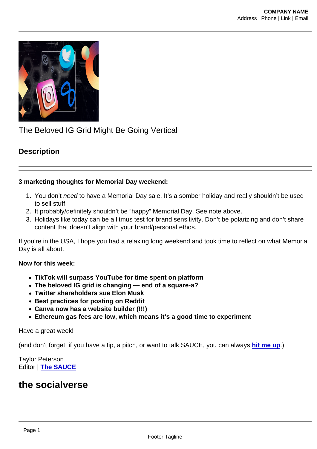# The Beloved IG Grid Might Be Going Vertical

# **Description**

3 marketing thoughts for Memorial Day weekend:

- 1. You don't need to have a Memorial Day sale. It's a somber holiday and really shouldn't be used to sell stuff.
- 2. It probably/definitely shouldn't be "happy" Memorial Day. See note above.
- 3. Holidays like today can be a litmus test for brand sensitivity. Don't be polarizing and don't share content that doesn't align with your brand/personal ethos.

If you're in the USA, I hope you had a relaxing long weekend and took time to reflect on what Memorial Day is all about.

Now for this week:

- TikTok will surpass YouTube for time spent on platform
- The beloved IG grid is changing end of a square-a?
- Twitter shareholders sue Elon Musk
- Best practices for posting on Reddit
- Canva now has a website builder (!!!)
- Ethereum gas fees are low, which means it's a good time to experiment

Have a great week!

(and don't forget: if you have a tip, a pitch, or want to talk SAUCE, you can always [hit me up](mailto:taylor@foodfightstudios.com) .)

Taylor Peterson Editor | [The SAUCE](https://foodfightstudios.us20.list-manage.com/track/click?u=70ced1d5078646f4e9367efaa&id=8e05f48c85&e=a3955638ab)

# the socialverse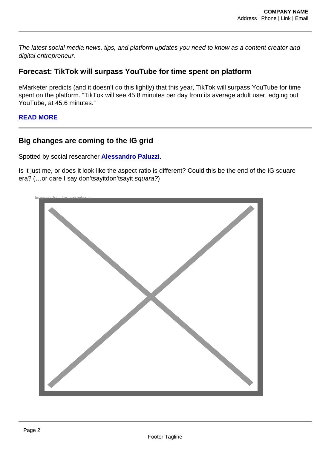The latest social media news, tips, and platform updates you need to know as a content creator and digital entrepreneur.

Forecast: TikTok will surpass YouTube for time spent on platform

eMarketer predicts (and it doesn't do this lightly) that this year, TikTok will surpass YouTube for time spent on the platform. "TikTok will see 45.8 minutes per day from its average adult user, edging out YouTube, at 45.6 minutes."

[READ MORE](https://foodfightstudios.us20.list-manage.com/track/click?u=70ced1d5078646f4e9367efaa&id=72be32841a&e=a3955638ab)

## Big changes are coming to the IG grid

Spotted by social researcher [Alessandro Paluzzi](https://foodfightstudios.us20.list-manage.com/track/click?u=70ced1d5078646f4e9367efaa&id=602e3dfbdc&e=a3955638ab) .

Is it just me, or does it look like the aspect ratio is different? Could this be the end of the IG square era? (…or dare I say don'tsayitdon'tsayit squara?)

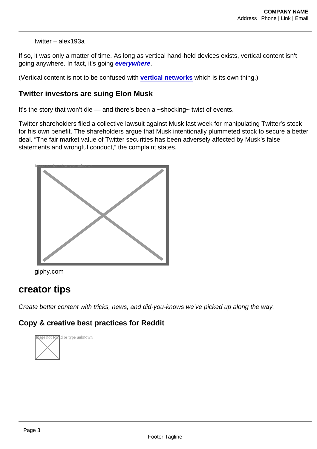#### twitter – alex193a

If so, it was only a matter of time. As long as vertical hand-held devices exists, vertical content isn't going anywhere. In fact, it's going [everywhere](https://foodfightstudios.us20.list-manage.com/track/click?u=70ced1d5078646f4e9367efaa&id=ed7fade1a1&e=a3955638ab) .

(Vertical content is not to be confused with [vertical networks](https://foodfightstudios.us20.list-manage.com/track/click?u=70ced1d5078646f4e9367efaa&id=f4b6c0b0f8&e=a3955638ab) which is its own thing.)

Twitter investors are suing Elon Musk

It's the story that won't die — and there's been a ~shocking~ twist of events.

Twitter shareholders filed a collective lawsuit against Musk last week for manipulating Twitter's stock for his own benefit. The shareholders argue that Musk intentionally plummeted stock to secure a better deal. "The fair market value of Twitter securities has been adversely affected by Musk's false statements and wrongful conduct," the complaint states.





# creator tips

Create better content with tricks, news, and did-you-knows we've picked up along the way.

Copy & creative best practices for Reddit

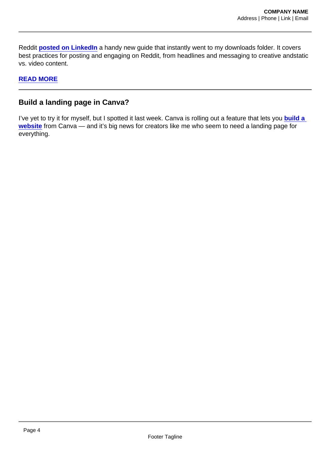Reddit [posted on LinkedIn](https://foodfightstudios.us20.list-manage.com/track/click?u=70ced1d5078646f4e9367efaa&id=f760df672d&e=a3955638ab) a handy new guide that instantly went to my downloads folder. It covers best practices for posting and engaging on Reddit, from headlines and messaging to creative andstatic vs. video content.

#### [READ MORE](https://foodfightstudios.us20.list-manage.com/track/click?u=70ced1d5078646f4e9367efaa&id=0f95c935e3&e=a3955638ab)

#### Build a landing page in Canva?

I've yet to try it for myself, but I spotted it last week. Canva is rolling out a feature that lets you build a website from Canva - and it's big news for creators like me who seem to need a landing page for everything.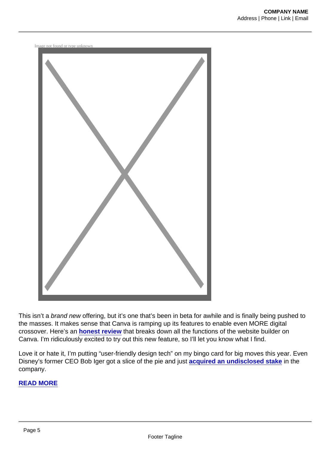Image not found or type unknown



This isn't a brand new offering, but it's one that's been in beta for awhile and is finally being pushed to the masses. It makes sense that Canva is ramping up its features to enable even MORE digital crossover. Here's an [honest review](https://foodfightstudios.us20.list-manage.com/track/click?u=70ced1d5078646f4e9367efaa&id=219e631b1e&e=a3955638ab) that breaks down all the functions of the website builder on Canva. I'm ridiculously excited to try out this new feature, so I'll let you know what I find.

Love it or hate it, I'm putting "user-friendly design tech" on my bingo card for big moves this year. Even Disney's former CEO Bob Iger got a slice of the pie and just [acquired an undisclosed stake](https://foodfightstudios.us20.list-manage.com/track/click?u=70ced1d5078646f4e9367efaa&id=3b4ccc0dd8&e=a3955638ab) in the company.

## [READ MORE](https://foodfightstudios.us20.list-manage.com/track/click?u=70ced1d5078646f4e9367efaa&id=ab226fbb4e&e=a3955638ab)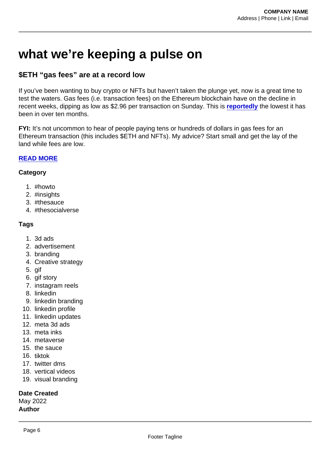# what we're keeping a pulse on

## \$ETH "gas fees" are at a record low

If you've been wanting to buy crypto or NFTs but haven't taken the plunge yet, now is a great time to test the waters. Gas fees (i.e. transaction fees) on the Ethereum blockchain have on the decline in recent weeks, dipping as low as \$2.96 per transaction on Sunday. This is [reportedly](https://foodfightstudios.us20.list-manage.com/track/click?u=70ced1d5078646f4e9367efaa&id=cc61292323&e=a3955638ab) the lowest it has been in over ten months.

FYI: It's not uncommon to hear of people paying tens or hundreds of dollars in gas fees for an Ethereum transaction (this includes \$ETH and NFTs). My advice? Start small and get the lay of the land while fees are low.

#### [READ MORE](https://foodfightstudios.us20.list-manage.com/track/click?u=70ced1d5078646f4e9367efaa&id=d62d5ebb39&e=a3955638ab)

#### **Category**

- 1. #howto
- 2. #insights
- 3. #thesauce
- 4. #thesocialverse

### Tags

- 1. 3d ads
- 2. advertisement
- 3. branding
- 4. Creative strategy
- 5. gif
- 6. gif story
- 7. instagram reels
- 8. linkedin
- 9. linkedin branding
- 10. linkedin profile
- 11. linkedin updates
- 12. meta 3d ads
- 13. meta inks
- 14. metaverse
- 15. the sauce
- 16. tiktok
- 17. twitter dms
- 18. vertical videos
- 19. visual branding

Date Created May 2022 Author